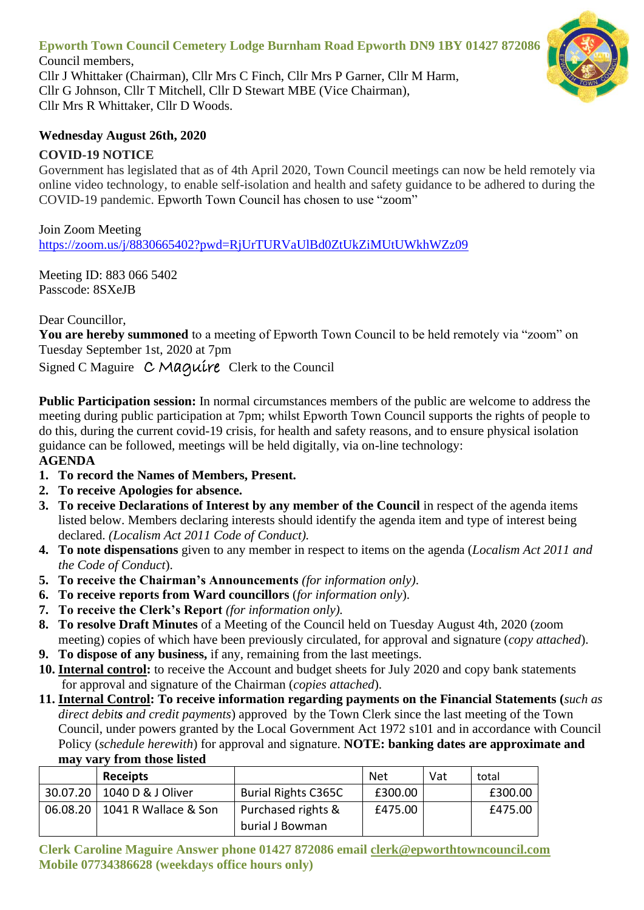# **Epworth Town Council Cemetery Lodge Burnham Road Epworth DN9 1BY 01427 872086**

Council members, Cllr J Whittaker (Chairman), Cllr Mrs C Finch, Cllr Mrs P Garner, Cllr M Harm, Cllr G Johnson, Cllr T Mitchell, Cllr D Stewart MBE (Vice Chairman), Cllr Mrs R Whittaker, Cllr D Woods.

### **Wednesday August 26th, 2020**

## **COVID-19 NOTICE**

Government has legislated that as of 4th April 2020, Town Council meetings can now be held remotely via online video technology, to enable self-isolation and health and safety guidance to be adhered to during the COVID-19 pandemic. Epworth Town Council has chosen to use "zoom"

#### Join Zoom Meeting

<https://zoom.us/j/8830665402?pwd=RjUrTURVaUlBd0ZtUkZiMUtUWkhWZz09>

Meeting ID: 883 066 5402 Passcode: 8SXeJB

Dear Councillor,

**You are hereby summoned** to a meeting of Epworth Town Council to be held remotely via "zoom" on Tuesday September 1st, 2020 at 7pm

Signed C Maguire C Maguire Clerk to the Council

**Public Participation session:** In normal circumstances members of the public are welcome to address the meeting during public participation at 7pm; whilst Epworth Town Council supports the rights of people to do this, during the current covid-19 crisis, for health and safety reasons, and to ensure physical isolation guidance can be followed, meetings will be held digitally, via on-line technology:

### **AGENDA**

- **1. To record the Names of Members, Present.**
- **2. To receive Apologies for absence.**
- **3. To receive Declarations of Interest by any member of the Council** in respect of the agenda items listed below. Members declaring interests should identify the agenda item and type of interest being declared. *(Localism Act 2011 Code of Conduct).*
- **4. To note dispensations** given to any member in respect to items on the agenda (*Localism Act 2011 and the Code of Conduct*).
- **5. To receive the Chairman's Announcements** *(for information only)*.
- **6. To receive reports from Ward councillors** (*for information only*).
- **7. To receive the Clerk's Report** *(for information only).*
- **8. To resolve Draft Minutes** of a Meeting of the Council held on Tuesday August 4th, 2020 (zoom meeting) copies of which have been previously circulated, for approval and signature (*copy attached*).
- **9. To dispose of any business,** if any, remaining from the last meetings.
- **10. Internal control:** to receive the Account and budget sheets for July 2020 and copy bank statements for approval and signature of the Chairman (*copies attached*).
- **11. Internal Control: To receive information regarding payments on the Financial Statements (***such as direct debits and credit payments*) approved by the Town Clerk since the last meeting of the Town Council, under powers granted by the Local Government Act 1972 s101 and in accordance with Council Policy (*schedule herewith*) for approval and signature. **NOTE: banking dates are approximate and may vary from those listed**

| <b>Receipts</b>                 |                                       | <b>Net</b> | Vat | total   |
|---------------------------------|---------------------------------------|------------|-----|---------|
| 30.07.20   1040 D & J Oliver    | <b>Burial Rights C365C</b>            | £300.00    |     | £300.00 |
| 06.08.20   1041 R Wallace & Son | Purchased rights &<br>burial J Bowman | £475.00    |     | £475.00 |

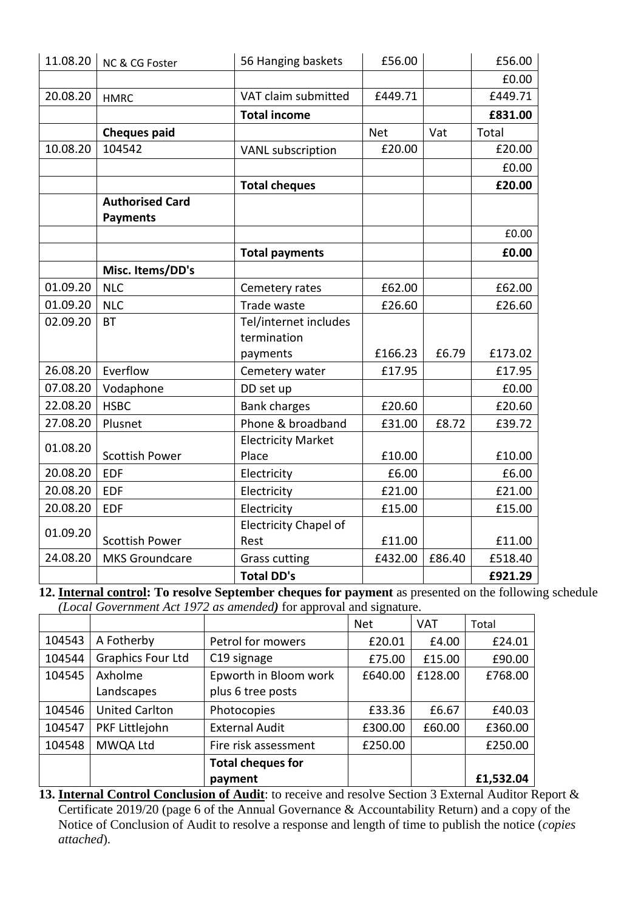| 11.08.20 | NC & CG Foster         | 56 Hanging baskets           | £56.00     |        | £56.00  |
|----------|------------------------|------------------------------|------------|--------|---------|
|          |                        |                              |            |        | £0.00   |
| 20.08.20 | <b>HMRC</b>            | VAT claim submitted          | £449.71    |        | £449.71 |
|          |                        | <b>Total income</b>          |            |        | £831.00 |
|          | <b>Cheques paid</b>    |                              | <b>Net</b> | Vat    | Total   |
| 10.08.20 | 104542                 | <b>VANL</b> subscription     | £20.00     |        | £20.00  |
|          |                        |                              |            |        | £0.00   |
|          |                        | <b>Total cheques</b>         |            |        | £20.00  |
|          | <b>Authorised Card</b> |                              |            |        |         |
|          | <b>Payments</b>        |                              |            |        |         |
|          |                        |                              |            |        | £0.00   |
|          |                        | <b>Total payments</b>        |            |        | £0.00   |
|          | Misc. Items/DD's       |                              |            |        |         |
| 01.09.20 | <b>NLC</b>             | Cemetery rates               | £62.00     |        | £62.00  |
| 01.09.20 | <b>NLC</b>             | Trade waste                  | £26.60     |        | £26.60  |
| 02.09.20 | <b>BT</b>              | Tel/internet includes        |            |        |         |
|          |                        | termination                  |            |        |         |
|          |                        | payments                     | £166.23    | £6.79  | £173.02 |
| 26.08.20 | Everflow               | Cemetery water               | £17.95     |        | £17.95  |
| 07.08.20 | Vodaphone              | DD set up                    |            |        | £0.00   |
| 22.08.20 | <b>HSBC</b>            | <b>Bank charges</b>          | £20.60     |        | £20.60  |
| 27.08.20 | Plusnet                | Phone & broadband            | £31.00     | £8.72  | £39.72  |
| 01.08.20 |                        | <b>Electricity Market</b>    |            |        |         |
|          | <b>Scottish Power</b>  | Place                        | £10.00     |        | £10.00  |
| 20.08.20 | <b>EDF</b>             | Electricity                  | £6.00      |        | £6.00   |
| 20.08.20 | <b>EDF</b>             | Electricity                  | £21.00     |        | £21.00  |
| 20.08.20 | <b>EDF</b>             | Electricity                  | £15.00     |        | £15.00  |
| 01.09.20 |                        | <b>Electricity Chapel of</b> |            |        |         |
|          | <b>Scottish Power</b>  | Rest                         | £11.00     |        | £11.00  |
| 24.08.20 | <b>MKS Groundcare</b>  | <b>Grass cutting</b>         | £432.00    | £86.40 | £518.40 |
|          |                        | <b>Total DD's</b>            |            |        | £921.29 |

**12. Internal control: To resolve September cheques for payment** as presented on the following schedule *(Local Government Act 1972 as amended)* for approval and signature.

|        |                          |                          | <b>Net</b> | <b>VAT</b> | Total     |
|--------|--------------------------|--------------------------|------------|------------|-----------|
| 104543 | A Fotherby               | Petrol for mowers        | £20.01     | £4.00      | £24.01    |
| 104544 | <b>Graphics Four Ltd</b> | C <sub>19</sub> signage  | £75.00     | £15.00     | £90.00    |
| 104545 | Axholme                  | Epworth in Bloom work    | £640.00    | £128.00    | £768.00   |
|        | Landscapes               | plus 6 tree posts        |            |            |           |
| 104546 | <b>United Carlton</b>    | Photocopies              | £33.36     | £6.67      | £40.03    |
| 104547 | PKF Littlejohn           | <b>External Audit</b>    | £300.00    | £60.00     | £360.00   |
| 104548 | MWQA Ltd                 | Fire risk assessment     | £250.00    |            | £250.00   |
|        |                          | <b>Total cheques for</b> |            |            |           |
|        |                          | payment                  |            |            | £1,532.04 |

**13. Internal Control Conclusion of Audit**: to receive and resolve Section 3 External Auditor Report & Certificate 2019/20 (page 6 of the Annual Governance & Accountability Return) and a copy of the Notice of Conclusion of Audit to resolve a response and length of time to publish the notice (*copies attached*).